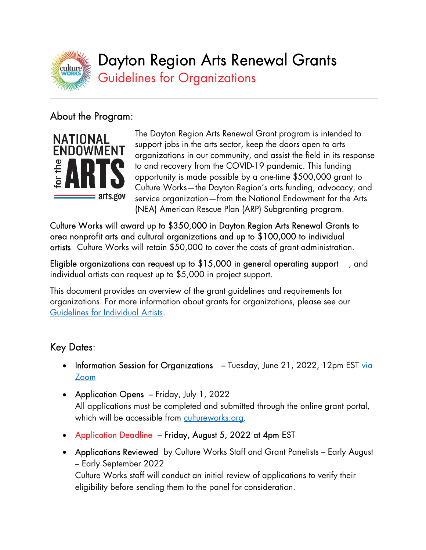

Dayton Region Arts Renewal Grants

Guidelines for Organizations

# About the Program:

 $\overline{a}$ 



The Dayton Region Arts Renewal Grant program is intended to support jobs in the arts sector, keep the doors open to arts organizations in our community, and assist the field in its response to and recovery from the COVID-19 pandemic. This funding opportunity is made possible by a one-time \$500,000 grant to Culture Works—the Dayton Region's arts funding, advocacy, and service organization—from the National Endowment for the Arts (NEA) American Rescue Plan (ARP) Subgranting program.

Culture Works will award up to \$350,000 in Dayton Region Arts Renewal Grants to area nonprofit arts and cultural organizations and up to \$100,000 to individual artists. Culture Works will retain \$50,000 to cover the costs of grant administration.

Eligible organizations can request up to \$15,000 in general operating support , and individual artists can request up to \$5,000 in project support.

This document provides an overview of the grant guidelines and requirements for organizations. For more information about grants for organizations, please see our Guidelines for Individual Artists.

# Key Dates:

- Information Session for Organizations Tuesday, June 21, 2022, 12pm EST via Zoom
- Application Opens Friday, July 1, 2022 All applications must be completed and submitted through the online grant portal, which will be accessible from cultureworks.org.
- Application Deadline Friday, August 5, 2022 at 4pm EST
- Applications Reviewed by Culture Works Staff and Grant Panelists Early August – Early September 2022

Culture Works staff will conduct an initial review of applications to verify their eligibility before sending them to the panel for consideration.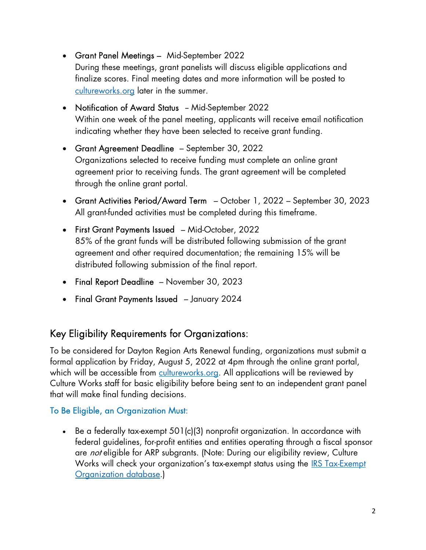- Grant Panel Meetings Mid-September 2022 During these meetings, grant panelists will discuss eligible applications and finalize scores. Final meeting dates and more information will be posted to cultureworks.org later in the summer.
- Notification of Award Status Mid-September 2022 Within one week of the panel meeting, applicants will receive email notification indicating whether they have been selected to receive grant funding.
- Grant Agreement Deadline September 30, 2022 Organizations selected to receive funding must complete an online grant agreement prior to receiving funds. The grant agreement will be completed through the online grant portal.
- Grant Activities Period/Award Term October 1, 2022 September 30, 2023 All grant-funded activities must be completed during this timeframe.
- First Grant Payments Issued Mid-October, 2022 85% of the grant funds will be distributed following submission of the grant agreement and other required documentation; the remaining 15% will be distributed following submission of the final report.
- Final Report Deadline November 30, 2023
- Final Grant Payments Issued January 2024

## Key Eligibility Requirements for Organizations:

To be considered for Dayton Region Arts Renewal funding, organizations must submit a formal application by Friday, August 5, 2022 at 4pm through the online grant portal, which will be accessible from cultureworks.org. All applications will be reviewed by Culture Works staff for basic eligibility before being sent to an independent grant panel that will make final funding decisions.

## To Be Eligible, an Organization Must:

 Be a federally tax-exempt 501(c)(3) nonprofit organization. In accordance with federal guidelines, for-profit entities and entities operating through a fiscal sponsor are *not* eligible for ARP subgrants. (Note: During our eligibility review, Culture Works will check your organization's tax-exempt status using the **IRS Tax-Exempt** Organization database.)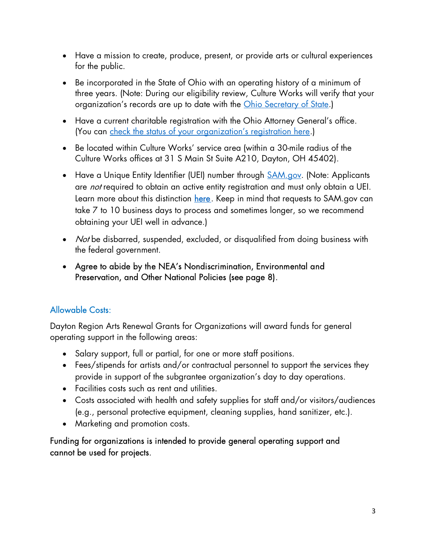- Have a mission to create, produce, present, or provide arts or cultural experiences for the public.
- Be incorporated in the State of Ohio with an operating history of a minimum of three years. (Note: During our eligibility review, Culture Works will verify that your organization's records are up to date with the Ohio Secretary of State.)
- Have a current charitable registration with the Ohio Attorney General's office. (You can check the status of your organization's registration here.)
- Be located within Culture Works' service area (within a 30-mile radius of the Culture Works offices at 31 S Main St Suite A210, Dayton, OH 45402).
- Have a Unique Entity Identifier (UEI) number through **SAM.gov.** (Note: Applicants are *not* required to obtain an active entity registration and must only obtain a UEI. Learn more about this distinction here. Keep in mind that requests to SAM.gov can take 7 to 10 business days to process and sometimes longer, so we recommend obtaining your UEI well in advance.)
- *Not* be disbarred, suspended, excluded, or disqualified from doing business with the federal government.
- Agree to abide by the NEA's Nondiscrimination, Environmental and Preservation, and Other National Policies (see page 8).

## Allowable Costs:

Dayton Region Arts Renewal Grants for Organizations will award funds for general operating support in the following areas:

- Salary support, full or partial, for one or more staff positions.
- Fees/stipends for artists and/or contractual personnel to support the services they provide in support of the subgrantee organization's day to day operations.
- Facilities costs such as rent and utilities.
- Costs associated with health and safety supplies for staff and/or visitors/audiences (e.g., personal protective equipment, cleaning supplies, hand sanitizer, etc.).
- Marketing and promotion costs.

Funding for organizations is intended to provide general operating support and cannot be used for projects.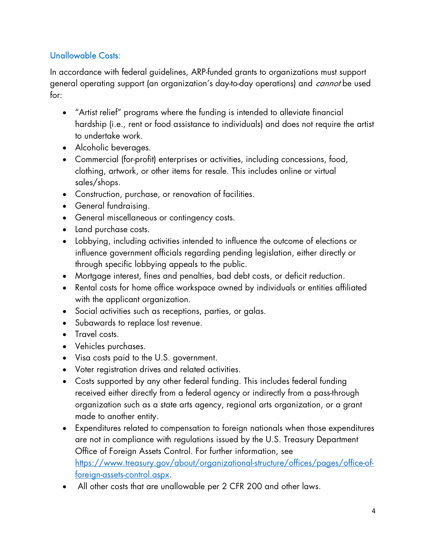## Unallowable Costs:

In accordance with federal guidelines, ARP-funded grants to organizations must support general operating support (an organization's day-to-day operations) and *cannot* be used for:

- "Artist relief" programs where the funding is intended to alleviate financial hardship (i.e., rent or food assistance to individuals) and does not require the artist to undertake work.
- Alcoholic beverages.
- Commercial (for-profit) enterprises or activities, including concessions, food, clothing, artwork, or other items for resale. This includes online or virtual sales/shops.
- Construction, purchase, or renovation of facilities.
- General fundraising.
- General miscellaneous or contingency costs.
- Land purchase costs.
- Lobbying, including activities intended to influence the outcome of elections or influence government officials regarding pending legislation, either directly or through specific lobbying appeals to the public.
- Mortgage interest, fines and penalties, bad debt costs, or deficit reduction.
- Rental costs for home office workspace owned by individuals or entities affiliated with the applicant organization.
- Social activities such as receptions, parties, or galas.
- Subawards to replace lost revenue.
- Travel costs.
- Vehicles purchases.
- Visa costs paid to the U.S. government.
- Voter registration drives and related activities.
- Costs supported by any other federal funding. This includes federal funding received either directly from a federal agency or indirectly from a pass-through organization such as a state arts agency, regional arts organization, or a grant made to another entity.
- Expenditures related to compensation to foreign nationals when those expenditures are not in compliance with regulations issued by the U.S. Treasury Department Office of Foreign Assets Control. For further information, see https://www.treasury.gov/about/organizational-structure/offices/pages/office-offoreign-assets-control.aspx.
- All other costs that are unallowable per 2 CFR 200 and other laws.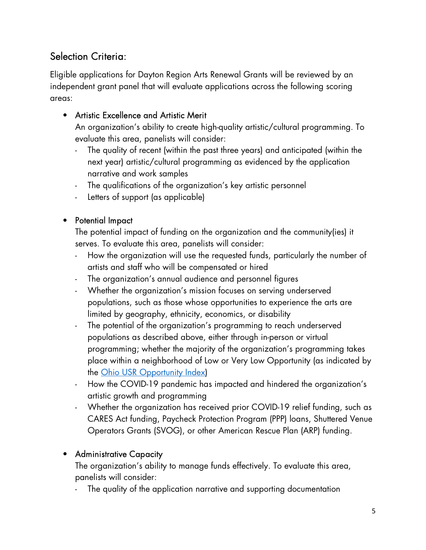# Selection Criteria:

Eligible applications for Dayton Region Arts Renewal Grants will be reviewed by an independent grant panel that will evaluate applications across the following scoring areas:

## • Artistic Excellence and Artistic Merit

An organization's ability to create high-quality artistic/cultural programming. To evaluate this area, panelists will consider:

- The quality of recent (within the past three years) and anticipated (within the next year) artistic/cultural programming as evidenced by the application narrative and work samples
- The qualifications of the organization's key artistic personnel
- Letters of support (as applicable)

## • Potential Impact

The potential impact of funding on the organization and the community(ies) it serves. To evaluate this area, panelists will consider:

- How the organization will use the requested funds, particularly the number of artists and staff who will be compensated or hired
- The organization's annual audience and personnel figures
- Whether the organization's mission focuses on serving underserved populations, such as those whose opportunities to experience the arts are limited by geography, ethnicity, economics, or disability
- The potential of the organization's programming to reach underserved populations as described above, either through in-person or virtual programming; whether the majority of the organization's programming takes place within a neighborhood of Low or Very Low Opportunity (as indicated by the Ohio USR Opportunity Index)
- How the COVID-19 pandemic has impacted and hindered the organization's artistic growth and programming
- Whether the organization has received prior COVID-19 relief funding, such as CARES Act funding, Paycheck Protection Program (PPP) loans, Shuttered Venue Operators Grants (SVOG), or other American Rescue Plan (ARP) funding.

## • Administrative Capacity

The organization's ability to manage funds effectively. To evaluate this area, panelists will consider:

- The quality of the application narrative and supporting documentation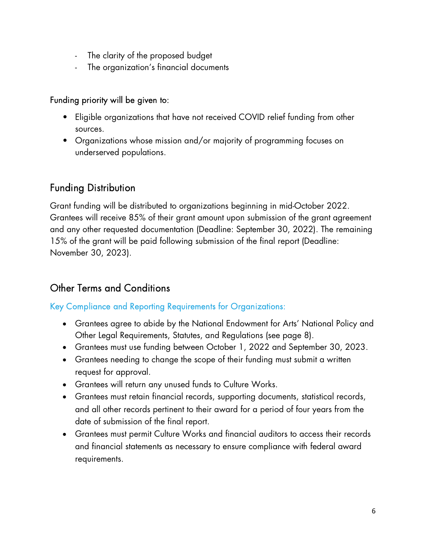- The clarity of the proposed budget
- The organization's financial documents

### Funding priority will be given to:

- Eligible organizations that have not received COVID relief funding from other sources.
- Organizations whose mission and/or majority of programming focuses on underserved populations.

## Funding Distribution

Grant funding will be distributed to organizations beginning in mid-October 2022. Grantees will receive 85% of their grant amount upon submission of the grant agreement and any other requested documentation (Deadline: September 30, 2022). The remaining 15% of the grant will be paid following submission of the final report (Deadline: November 30, 2023).

## Other Terms and Conditions

## Key Compliance and Reporting Requirements for Organizations:

- Grantees agree to abide by the National Endowment for Arts' National Policy and Other Legal Requirements, Statutes, and Regulations (see page 8).
- Grantees must use funding between October 1, 2022 and September 30, 2023.
- Grantees needing to change the scope of their funding must submit a written request for approval.
- Grantees will return any unused funds to Culture Works.
- Grantees must retain financial records, supporting documents, statistical records, and all other records pertinent to their award for a period of four years from the date of submission of the final report.
- Grantees must permit Culture Works and financial auditors to access their records and financial statements as necessary to ensure compliance with federal award requirements.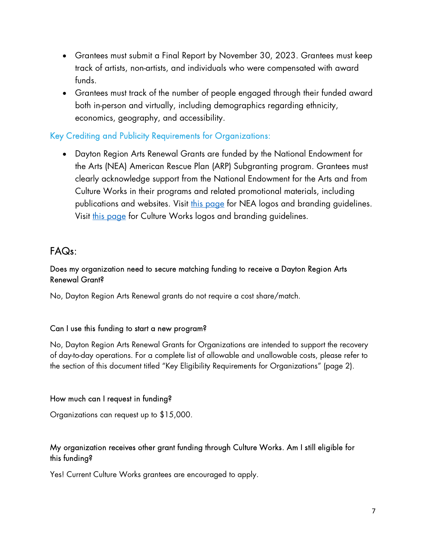- Grantees must submit a Final Report by November 30, 2023. Grantees must keep track of artists, non-artists, and individuals who were compensated with award funds.
- Grantees must track of the number of people engaged through their funded award both in-person and virtually, including demographics regarding ethnicity, economics, geography, and accessibility.

#### Key Crediting and Publicity Requirements for Organizations:

 Dayton Region Arts Renewal Grants are funded by the National Endowment for the Arts (NEA) American Rescue Plan (ARP) Subgranting program. Grantees must clearly acknowledge support from the National Endowment for the Arts and from Culture Works in their programs and related promotional materials, including publications and websites. Visit this page for NEA logos and branding guidelines. Visit this page for Culture Works logos and branding guidelines.

## FAQs:

#### Does my organization need to secure matching funding to receive a Dayton Region Arts Renewal Grant?

No, Dayton Region Arts Renewal grants do not require a cost share/match.

#### Can I use this funding to start a new program?

No, Dayton Region Arts Renewal Grants for Organizations are intended to support the recovery of day-to-day operations. For a complete list of allowable and unallowable costs, please refer to the section of this document titled "Key Eligibility Requirements for Organizations" (page 2).

#### How much can I request in funding?

Organizations can request up to \$15,000.

#### My organization receives other grant funding through Culture Works. Am I still eligible for this funding?

Yes! Current Culture Works grantees are encouraged to apply.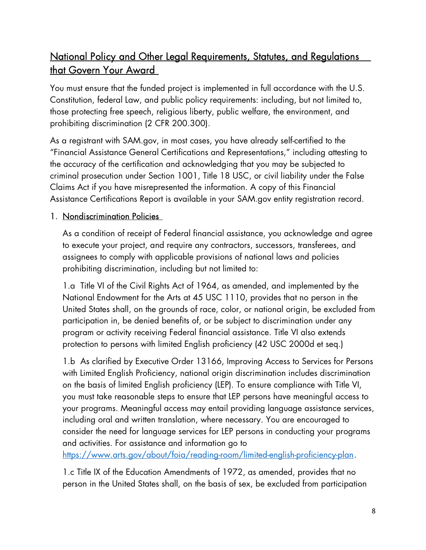## National Policy and Other Legal Requirements, Statutes, and Regulations that Govern Your Award

You must ensure that the funded project is implemented in full accordance with the U.S. Constitution, federal Law, and public policy requirements: including, but not limited to, those protecting free speech, religious liberty, public welfare, the environment, and prohibiting discrimination (2 CFR 200.300).

As a registrant with SAM.gov, in most cases, you have already self-certified to the "Financial Assistance General Certifications and Representations," including attesting to the accuracy of the certification and acknowledging that you may be subjected to criminal prosecution under Section 1001, Title 18 USC, or civil liability under the False Claims Act if you have misrepresented the information. A copy of this Financial Assistance Certifications Report is available in your SAM.gov entity registration record.

## 1. Nondiscrimination Policies

As a condition of receipt of Federal financial assistance, you acknowledge and agree to execute your project, and require any contractors, successors, transferees, and assignees to comply with applicable provisions of national laws and policies prohibiting discrimination, including but not limited to:

1.a Title VI of the Civil Rights Act of 1964, as amended, and implemented by the National Endowment for the Arts at 45 USC 1110, provides that no person in the United States shall, on the grounds of race, color, or national origin, be excluded from participation in, be denied benefits of, or be subject to discrimination under any program or activity receiving Federal financial assistance. Title VI also extends protection to persons with limited English proficiency (42 USC 2000d et seq.)

1.b As clarified by Executive Order 13166, Improving Access to Services for Persons with Limited English Proficiency, national origin discrimination includes discrimination on the basis of limited English proficiency (LEP). To ensure compliance with Title VI, you must take reasonable steps to ensure that LEP persons have meaningful access to your programs. Meaningful access may entail providing language assistance services, including oral and written translation, where necessary. You are encouraged to consider the need for language services for LEP persons in conducting your programs and activities. For assistance and information go to

https://www.arts.gov/about/foia/reading-room/limited-english-proficiency-plan.

1.c Title IX of the Education Amendments of 1972, as amended, provides that no person in the United States shall, on the basis of sex, be excluded from participation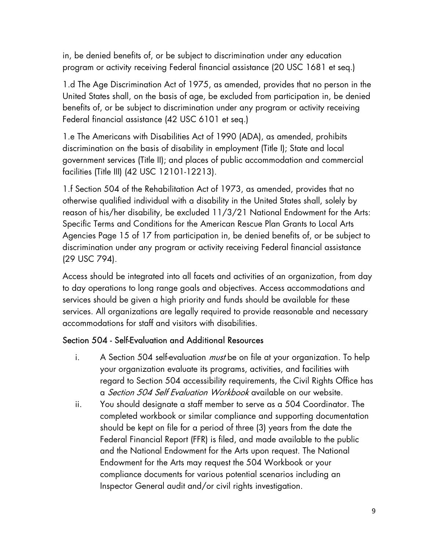in, be denied benefits of, or be subject to discrimination under any education program or activity receiving Federal financial assistance (20 USC 1681 et seq.)

1.d The Age Discrimination Act of 1975, as amended, provides that no person in the United States shall, on the basis of age, be excluded from participation in, be denied benefits of, or be subject to discrimination under any program or activity receiving Federal financial assistance (42 USC 6101 et seq.)

1.e The Americans with Disabilities Act of 1990 (ADA), as amended, prohibits discrimination on the basis of disability in employment (Title I); State and local government services (Title II); and places of public accommodation and commercial facilities (Title III) (42 USC 12101-12213).

1.f Section 504 of the Rehabilitation Act of 1973, as amended, provides that no otherwise qualified individual with a disability in the United States shall, solely by reason of his/her disability, be excluded 11/3/21 National Endowment for the Arts: Specific Terms and Conditions for the American Rescue Plan Grants to Local Arts Agencies Page 15 of 17 from participation in, be denied benefits of, or be subject to discrimination under any program or activity receiving Federal financial assistance (29 USC 794).

Access should be integrated into all facets and activities of an organization, from day to day operations to long range goals and objectives. Access accommodations and services should be given a high priority and funds should be available for these services. All organizations are legally required to provide reasonable and necessary accommodations for staff and visitors with disabilities.

## Section 504 - Self-Evaluation and Additional Resources

- i. A Section 504 self-evaluation *must* be on file at your organization. To help your organization evaluate its programs, activities, and facilities with regard to Section 504 accessibility requirements, the Civil Rights Office has a Section 504 Self Evaluation Workbook available on our website.
- ii. You should designate a staff member to serve as a 504 Coordinator. The completed workbook or similar compliance and supporting documentation should be kept on file for a period of three (3) years from the date the Federal Financial Report (FFR) is filed, and made available to the public and the National Endowment for the Arts upon request. The National Endowment for the Arts may request the 504 Workbook or your compliance documents for various potential scenarios including an Inspector General audit and/or civil rights investigation.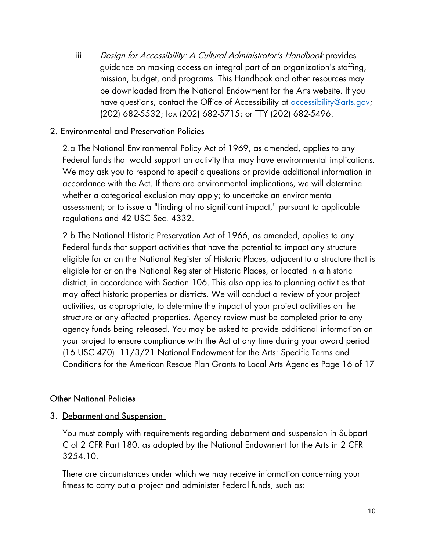iii. Design for Accessibility: A Cultural Administrator's Handbook provides guidance on making access an integral part of an organization's staffing, mission, budget, and programs. This Handbook and other resources may be downloaded from the National Endowment for the Arts website. If you have questions, contact the Office of Accessibility at **accessibility@arts.gov**; (202) 682-5532; fax (202) 682-5715; or TTY (202) 682-5496.

### 2. Environmental and Preservation Policies

2.a The National Environmental Policy Act of 1969, as amended, applies to any Federal funds that would support an activity that may have environmental implications. We may ask you to respond to specific questions or provide additional information in accordance with the Act. If there are environmental implications, we will determine whether a categorical exclusion may apply; to undertake an environmental assessment; or to issue a "finding of no significant impact," pursuant to applicable regulations and 42 USC Sec. 4332.

2.b The National Historic Preservation Act of 1966, as amended, applies to any Federal funds that support activities that have the potential to impact any structure eligible for or on the National Register of Historic Places, adjacent to a structure that is eligible for or on the National Register of Historic Places, or located in a historic district, in accordance with Section 106. This also applies to planning activities that may affect historic properties or districts. We will conduct a review of your project activities, as appropriate, to determine the impact of your project activities on the structure or any affected properties. Agency review must be completed prior to any agency funds being released. You may be asked to provide additional information on your project to ensure compliance with the Act at any time during your award period (16 USC 470). 11/3/21 National Endowment for the Arts: Specific Terms and Conditions for the American Rescue Plan Grants to Local Arts Agencies Page 16 of 17

### Other National Policies

### 3. Debarment and Suspension

You must comply with requirements regarding debarment and suspension in Subpart C of 2 CFR Part 180, as adopted by the National Endowment for the Arts in 2 CFR 3254.10.

There are circumstances under which we may receive information concerning your fitness to carry out a project and administer Federal funds, such as: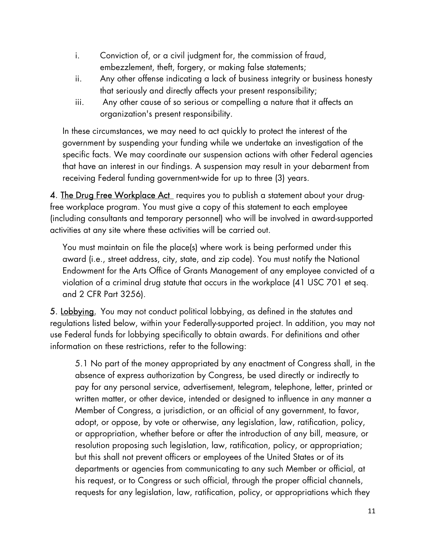- i. Conviction of, or a civil judgment for, the commission of fraud, embezzlement, theft, forgery, or making false statements;
- ii. Any other offense indicating a lack of business integrity or business honesty that seriously and directly affects your present responsibility;
- iii. Any other cause of so serious or compelling a nature that it affects an organization's present responsibility.

In these circumstances, we may need to act quickly to protect the interest of the government by suspending your funding while we undertake an investigation of the specific facts. We may coordinate our suspension actions with other Federal agencies that have an interest in our findings. A suspension may result in your debarment from receiving Federal funding government-wide for up to three (3) years.

4. The Drug Free Workplace Act requires you to publish a statement about your drugfree workplace program. You must give a copy of this statement to each employee (including consultants and temporary personnel) who will be involved in award-supported activities at any site where these activities will be carried out.

You must maintain on file the place(s) where work is being performed under this award (i.e., street address, city, state, and zip code). You must notify the National Endowment for the Arts Office of Grants Management of any employee convicted of a violation of a criminal drug statute that occurs in the workplace (41 USC 701 et seq. and 2 CFR Part 3256).

5. Lobbying. You may not conduct political lobbying, as defined in the statutes and regulations listed below, within your Federally-supported project. In addition, you may not use Federal funds for lobbying specifically to obtain awards. For definitions and other information on these restrictions, refer to the following:

5.1 No part of the money appropriated by any enactment of Congress shall, in the absence of express authorization by Congress, be used directly or indirectly to pay for any personal service, advertisement, telegram, telephone, letter, printed or written matter, or other device, intended or designed to influence in any manner a Member of Congress, a jurisdiction, or an official of any government, to favor, adopt, or oppose, by vote or otherwise, any legislation, law, ratification, policy, or appropriation, whether before or after the introduction of any bill, measure, or resolution proposing such legislation, law, ratification, policy, or appropriation; but this shall not prevent officers or employees of the United States or of its departments or agencies from communicating to any such Member or official, at his request, or to Congress or such official, through the proper official channels, requests for any legislation, law, ratification, policy, or appropriations which they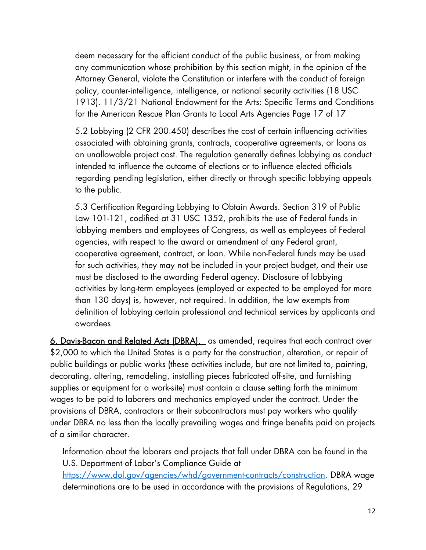deem necessary for the efficient conduct of the public business, or from making any communication whose prohibition by this section might, in the opinion of the Attorney General, violate the Constitution or interfere with the conduct of foreign policy, counter-intelligence, intelligence, or national security activities (18 USC 1913). 11/3/21 National Endowment for the Arts: Specific Terms and Conditions for the American Rescue Plan Grants to Local Arts Agencies Page 17 of 17

5.2 Lobbying (2 CFR 200.450) describes the cost of certain influencing activities associated with obtaining grants, contracts, cooperative agreements, or loans as an unallowable project cost. The regulation generally defines lobbying as conduct intended to influence the outcome of elections or to influence elected officials regarding pending legislation, either directly or through specific lobbying appeals to the public.

5.3 Certification Regarding Lobbying to Obtain Awards. Section 319 of Public Law 101-121, codified at 31 USC 1352, prohibits the use of Federal funds in lobbying members and employees of Congress, as well as employees of Federal agencies, with respect to the award or amendment of any Federal grant, cooperative agreement, contract, or loan. While non-Federal funds may be used for such activities, they may not be included in your project budget, and their use must be disclosed to the awarding Federal agency. Disclosure of lobbying activities by long-term employees (employed or expected to be employed for more than 130 days) is, however, not required. In addition, the law exempts from definition of lobbying certain professional and technical services by applicants and awardees.

6. Davis-Bacon and Related Acts (DBRA), as amended, requires that each contract over \$2,000 to which the United States is a party for the construction, alteration, or repair of public buildings or public works (these activities include, but are not limited to, painting, decorating, altering, remodeling, installing pieces fabricated off-site, and furnishing supplies or equipment for a work-site) must contain a clause setting forth the minimum wages to be paid to laborers and mechanics employed under the contract. Under the provisions of DBRA, contractors or their subcontractors must pay workers who qualify under DBRA no less than the locally prevailing wages and fringe benefits paid on projects of a similar character.

Information about the laborers and projects that fall under DBRA can be found in the U.S. Department of Labor's Compliance Guide at https://www.dol.gov/agencies/whd/government-contracts/construction. DBRA wage determinations are to be used in accordance with the provisions of Regulations, 29